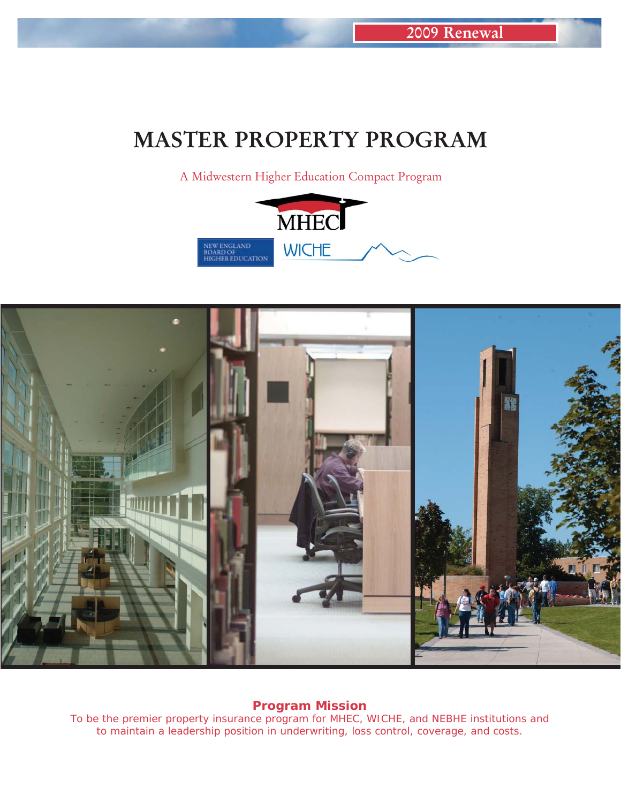# **MASTER PROPERTY PROGRAM**

A Midwestern Higher Education Compact Program





*Program Mission*

*To be the premier property insurance program for MHEC, WICHE, and NEBHE institutions and to maintain a leadership position in underwriting, loss control, coverage, and costs.*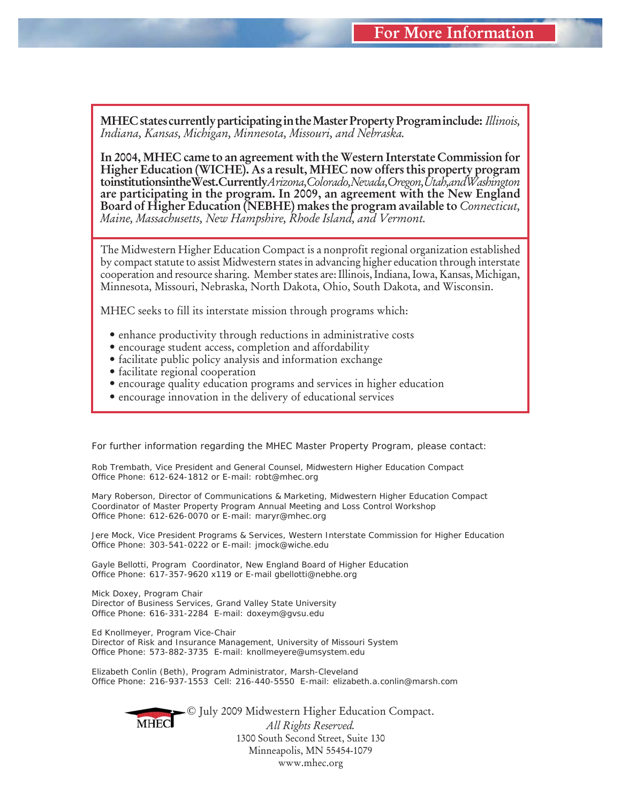**MHEC states currently participating in the Master Property Program include:** *Illinois, Indiana, Kansas, Michigan, Minnesota, Missouri, and Nebraska.*

**In 2004, MHEC came to an agreement with the Western Interstate Commission for Higher Education (WICHE). As a result, MHEC now offers this property program to institutions in the West. Currently** *Arizona, Colorado, Nevada, Oregon, Utah, and Washington* **are participating in the program. In 2009, an agreement with the New England Board of Higher Education (NEBHE) makes the program available to** *Connecticut, Maine, Massachusetts, New Hampshire, Rhode Island, and Vermont.*

The Midwestern Higher Education Compact is a nonprofit regional organization established by compact statute to assist Midwestern states in advancing higher education through interstate cooperation and resource sharing. Member states are: Illinois, Indiana, Iowa, Kansas, Michigan, Minnesota, Missouri, Nebraska, North Dakota, Ohio, South Dakota, and Wisconsin.

MHEC seeks to fill its interstate mission through programs which:

- enhance productivity through reductions in administrative costs
- encourage student access, completion and affordability
- facilitate public policy analysis and information exchange
- facilitate regional cooperation
- encourage quality education programs and services in higher education
- encourage innovation in the delivery of educational services

*For further information regarding the MHEC Master Property Program, please contact:* 

*Rob Trembath, Vice President and General Counsel, Midwestern Higher Education Compact Offi ce Phone: 612-624-1812 or E-mail: robt@mhec.org*

*Mary Roberson, Director of Communications & Marketing, Midwestern Higher Education Compact Coordinator of Master Property Program Annual Meeting and Loss Control Workshop Offi ce Phone: 612-626-0070 or E-mail: maryr@mhec.org*

*Jere Mock, Vice President Programs & Services, Western Interstate Commission for Higher Education Offi ce Phone: 303-541-0222 or E-mail: jmock@wiche.edu*

*Gayle Bellotti, Program Coordinator, New England Board of Higher Education Offi ce Phone: 617-357-9620 x119 or E-mail gbellotti@nebhe.org*

*Mick Doxey, Program Chair Director of Business Services, Grand Valley State University Offi ce Phone: 616-331-2284 E-mail: doxeym@gvsu.edu*

*Ed Knollmeyer, Program Vice-Chair Director of Risk and Insurance Management, University of Missouri System Offi ce Phone: 573-882-3735 E-mail: knollmeyere@umsystem.edu*

*Elizabeth Conlin (Beth), Program Administrator, Marsh-Cleveland Offi ce Phone: 216-937-1553 Cell: 216-440-5550 E-mail: elizabeth.a.conlin@marsh.com*

**MHEC** 

© July 2009 Midwestern Higher Education Compact. *All Rights Reserved.* 1300 South Second Street, Suite 130 Minneapolis, MN 55454-1079 www.mhec.org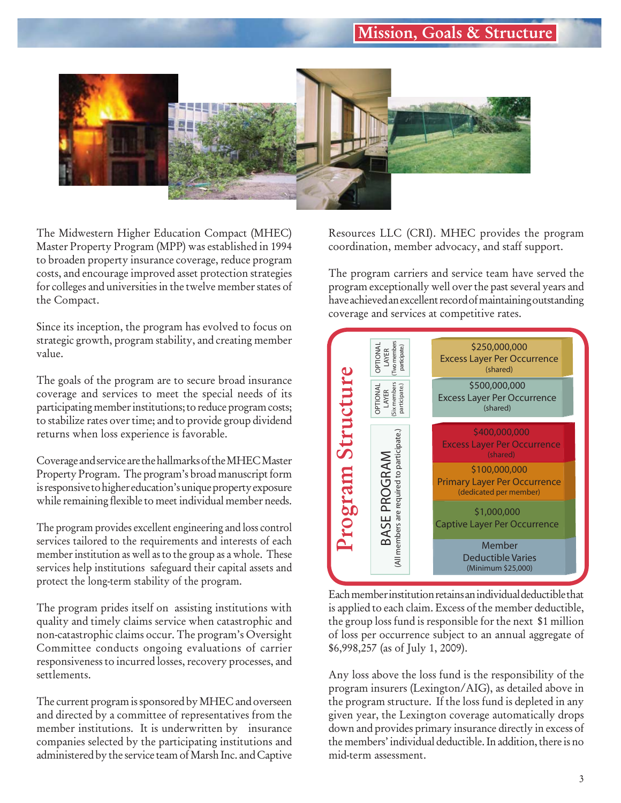# **Mission, Goals & Structure**



The Midwestern Higher Education Compact (MHEC) Master Property Program (MPP) was established in 1994 to broaden property insurance coverage, reduce program costs, and encourage improved asset protection strategies for colleges and universities in the twelve member states of the Compact.

Since its inception, the program has evolved to focus on strategic growth, program stability, and creating member value.

The goals of the program are to secure broad insurance coverage and services to meet the special needs of its participating member institutions; to reduce program costs; to stabilize rates over time; and to provide group dividend returns when loss experience is favorable.

Coverage and service are the hallmarks of the MHEC Master Property Program. The program's broad manuscript form is responsive to higher education's unique property exposure while remaining flexible to meet individual member needs.

The program provides excellent engineering and loss control services tailored to the requirements and interests of each member institution as well as to the group as a whole. These services help institutions safeguard their capital assets and protect the long-term stability of the program.

The program prides itself on assisting institutions with quality and timely claims service when catastrophic and non-catastrophic claims occur. The program's Oversight Committee conducts ongoing evaluations of carrier responsiveness to incurred losses, recovery processes, and settlements.

The current program is sponsored by MHEC and overseen and directed by a committee of representatives from the member institutions. It is underwritten by insurance companies selected by the participating institutions and administered by the service team of Marsh Inc. and Captive Resources LLC (CRI). MHEC provides the program coordination, member advocacy, and staff support.

The program carriers and service team have served the program exceptionally well over the past several years and have achieved an excellent record of maintaining outstanding coverage and services at competitive rates.



Each member institution retains an individual deductible that is applied to each claim. Excess of the member deductible, the group loss fund is responsible for the next \$1 million of loss per occurrence subject to an annual aggregate of \$6,998,257 (as of July 1, 2009).

Any loss above the loss fund is the responsibility of the program insurers (Lexington/AIG), as detailed above in the program structure. If the loss fund is depleted in any given year, the Lexington coverage automatically drops down and provides primary insurance directly in excess of the members' individual deductible. In addition, there is no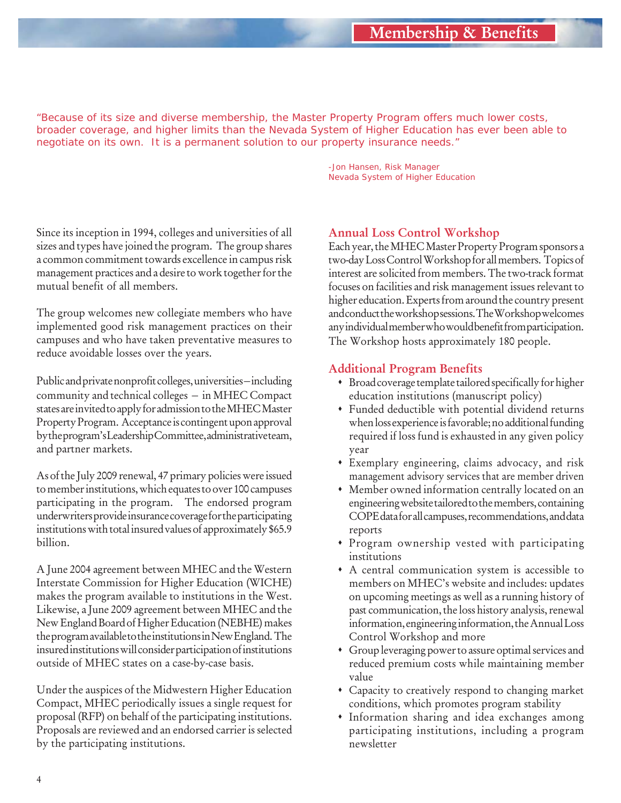*"Because of its size and diverse membership, the Master Property Program offers much lower costs, broader coverage, and higher limits than the Nevada System of Higher Education has ever been able to negotiate on its own. It is a permanent solution to our property insurance needs."*

> *-Jon Hansen, Risk Manager Nevada System of Higher Education*

Since its inception in 1994, colleges and universities of all sizes and types have joined the program. The group shares a common commitment towards excellence in campus risk management practices and a desire to work together for the mutual benefit of all members.

The group welcomes new collegiate members who have implemented good risk management practices on their campuses and who have taken preventative measures to reduce avoidable losses over the years.

Public and private nonprofit colleges, universities – including community and technical colleges – in MHEC Compact states are invited to apply for admission to the MHEC Master Property Program. Acceptance is contingent upon approval by the program's Leadership Committee, administrative team, and partner markets.

As of the July 2009 renewal, 47 primary policies were issued to member institutions, which equates to over 100 campuses participating in the program. The endorsed program underwriters provide insurance coverage for the participating institutions with total insured values of approximately \$65.9 billion.

A June 2004 agreement between MHEC and the Western Interstate Commission for Higher Education (WICHE) makes the program available to institutions in the West. Likewise, a June 2009 agreement between MHEC and the New England Board of Higher Education (NEBHE) makes the program available to the institutions in New England. The insured institutions will consider participation of institutions outside of MHEC states on a case-by-case basis.

Under the auspices of the Midwestern Higher Education Compact, MHEC periodically issues a single request for proposal (RFP) on behalf of the participating institutions. Proposals are reviewed and an endorsed carrier is selected by the participating institutions.

### **Annual Loss Control Workshop**

Each year, the MHEC Master Property Program sponsors a two-day Loss Control Workshop for all members. Topics of interest are solicited from members. The two-track format focuses on facilities and risk management issues relevant to higher education. Experts from around the country present and conduct the workshop sessions. The Workshop welcomes any individual member who would benefit from participation. The Workshop hosts approximately 180 people.

### **Additional Program Benefits**

- Broad coverage template tailored specifically for higher education institutions (manuscript policy)
- Funded deductible with potential dividend returns when loss experience is favorable; no additional funding required if loss fund is exhausted in any given policy year
- Exemplary engineering, claims advocacy, and risk management advisory services that are member driven
- Member owned information centrally located on an engineering website tailored to the members, containing COPE data for all campuses, recommendations, and data reports
- Program ownership vested with participating institutions
- A central communication system is accessible to members on MHEC's website and includes: updates on upcoming meetings as well as a running history of past communication, the loss history analysis, renewal information, engineering information, the Annual Loss Control Workshop and more
- Group leveraging power to assure optimal services and reduced premium costs while maintaining member value
- Capacity to creatively respond to changing market conditions, which promotes program stability
- Information sharing and idea exchanges among participating institutions, including a program newsletter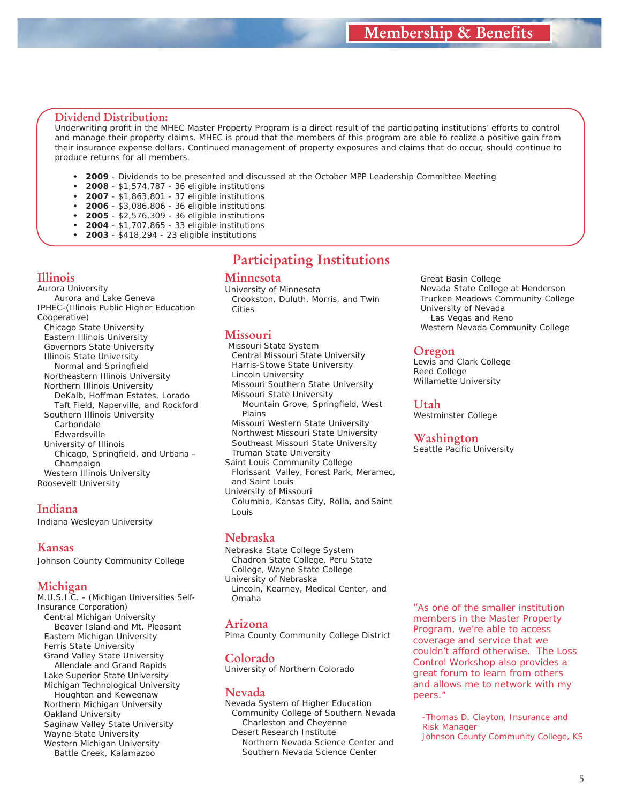Great Basin College

 University of Nevada *Las Vegas and Reno*

Lewis and Clark College

Westminster College

**Washington** Seattle Pacific University

**Oregon**

**Utah**

Reed College Willamette University

 Nevada State College at Henderson Truckee Meadows Community College

Western Nevada Community College

#### **Dividend Distribution:**

Underwriting profit in the MHEC Master Property Program is a direct result of the participating institutions' efforts to control and manage their property claims. MHEC is proud that the members of this program are able to realize a positive gain from their insurance expense dollars. Continued management of property exposures and claims that do occur, should continue to produce returns for all members.

- **2009** Dividends to be presented and discussed at the October MPP Leadership Committee Meeting
- **2008** \$1,574,787 36 eligible institutions
- **2007** \$1,863,801 37 eligible institutions
- **2006** \$3,086,806 36 eligible institutions
- **2005** \$2,576,309 36 eligible institutions **2004** - \$1,707,865 - 33 eligible institutions
- 
- **2003** \$418,294 23 eligible institutions

#### **Illinois**

Aurora University *Aurora and Lake Geneva* IPHEC-(Illinois Public Higher Education Cooperative) Chicago State University Eastern Illinois University Governors State University Illinois State University *Normal and Springfield*  Northeastern Illinois University Northern Illinois University *DeKalb, Hoffman Estates, Lorado Taft Field, Naperville, and Rockford* Southern Illinois University *Carbondale Edwardsville* University of Illinois *Chicago, Springfield, and Urbana – Champaign* Western Illinois University Roosevelt University

#### **Indiana**

Indiana Wesleyan University

#### **Kansas**

Johnson County Community College

#### **Michigan**

M.U.S.I.C. - (Michigan Universities Self-Insurance Corporation) Central Michigan University *Beaver Island and Mt. Pleasant* Eastern Michigan University Ferris State University Grand Valley State University *Allendale and Grand Rapids* Lake Superior State University Michigan Technological University *Houghton and Keweenaw* Northern Michigan University Oakland University Saginaw Valley State University Wayne State University Western Michigan University *Battle Creek, Kalamazoo*

## **Participating Institutions**

#### **Minnesota**

University of Minnesota  *Crookston, Duluth, Morris, and Twin Cities*

#### **Missouri**

 Missouri State System Central Missouri State University Harris-Stowe State University Lincoln University Missouri Southern State University Missouri State University *Mountain Grove, Springfield, West Plains* Missouri Western State University Northwest Missouri State University Southeast Missouri State University Truman State University Saint Louis Community College *Florissant Valley, Forest Park, Meramec, and Saint Louis* University of Missouri

*Columbia, Kansas City, Rolla, and Saint Louis*

#### **Nebraska**

Nebraska State College System *Chadron State College, Peru State College, Wayne State College* University of Nebraska *Lincoln, Kearney, Medical Center, and Omaha*

#### **Arizona**

Pima County Community College District

#### **Colorado** University of Northern Colorado

#### **Nevada**

Nevada System of Higher Education Community College of Southern Nevada *Charleston and Cheyenne* Desert Research Institute *Northern Nevada Science Center and Southern Nevada Science Center*

*"As one of the smaller institution members in the Master Property Program, we're able to access coverage and service that we couldn't afford otherwise. The Loss Control Workshop also provides a great forum to learn from others and allows me to network with my peers."*

*-Thomas D. Clayton, Insurance and Risk Manager Johnson County Community College, KS*

5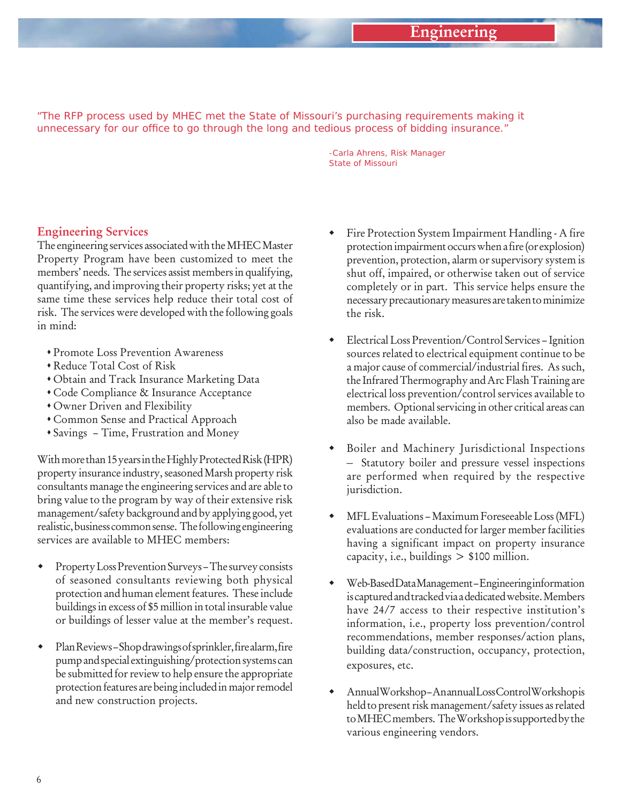*"The RFP process used by MHEC met the State of Missouri's purchasing requirements making it*  unnecessary for our office to go through the long and tedious process of bidding insurance."

> *-Carla Ahrens, Risk Manager State of Missouri*

#### **Engineering Services**

The engineering services associated with the MHEC Master Property Program have been customized to meet the members' needs. The services assist members in qualifying, quantifying, and improving their property risks; yet at the same time these services help reduce their total cost of risk. The services were developed with the following goals in mind:

- Promote Loss Prevention Awareness
- Reduce Total Cost of Risk
- Obtain and Track Insurance Marketing Data
- Code Compliance & Insurance Acceptance
- Owner Driven and Flexibility
- Common Sense and Practical Approach
- Savings Time, Frustration and Money

With more than 15 years in the Highly Protected Risk (HPR) property insurance industry, seasoned Marsh property risk consultants manage the engineering services and are able to bring value to the program by way of their extensive risk management/safety background and by applying good, yet realistic, business common sense. The following engineering services are available to MHEC members:

- Property Loss Prevention Surveys The survey consists of seasoned consultants reviewing both physical protection and human element features. These include buildings in excess of \$5 million in total insurable value or buildings of lesser value at the member's request.
- Plan Reviews Shop drawings of sprinkler, fire alarm, fire pump and special extinguishing/protection systems can be submitted for review to help ensure the appropriate protection features are being included in major remodel and new construction projects.
- Fire Protection System Impairment Handling A fire protection impairment occurs when a fire (or explosion) prevention, protection, alarm or supervisory system is shut off, impaired, or otherwise taken out of service completely or in part. This service helps ensure the necessary precautionary measures are taken to minimize the risk.
- Electrical Loss Prevention/Control Services Ignition sources related to electrical equipment continue to be a major cause of commercial/industrial fires. As such, the Infrared Thermography and Arc Flash Training are electrical loss prevention/control services available to members. Optional servicing in other critical areas can also be made available.
- Boiler and Machinery Jurisdictional Inspections – Statutory boiler and pressure vessel inspections are performed when required by the respective jurisdiction.
- MFL Evaluations Maximum Foreseeable Loss (MFL) evaluations are conducted for larger member facilities having a significant impact on property insurance capacity, i.e., buildings  $> $100$  million.
- Web-Based Data Management Engineering information is captured and tracked via a dedicated website. Members have 24/7 access to their respective institution's information, i.e., property loss prevention/control recommendations, member responses/action plans, building data/construction, occupancy, protection, exposures, etc.
- Annual Workshop An annual Loss Control Workshop is held to present risk management/safety issues as related to MHEC members. The Workshop is supported by the various engineering vendors.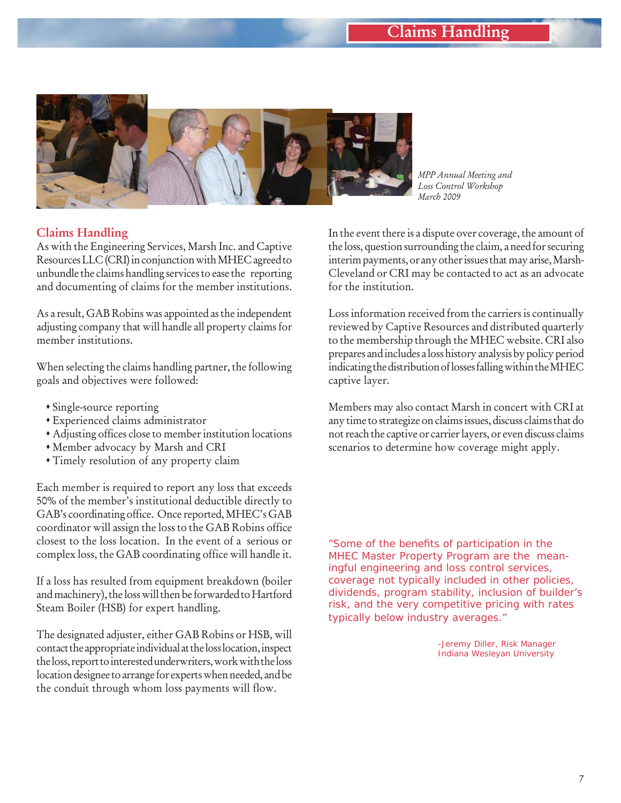# **Claims Handling**



*MPP Annual Meeting and Loss Control Workshop March 2009*

### **Claims Handling**

As with the Engineering Services, Marsh Inc. and Captive Resources LLC (CRI) in conjunction with MHEC agreed to unbundle the claims handling services to ease the reporting and documenting of claims for the member institutions.

As a result, GAB Robins was appointed as the independent adjusting company that will handle all property claims for member institutions.

When selecting the claims handling partner, the following goals and objectives were followed:

- Single-source reporting
- Experienced claims administrator
- Adjusting offices close to member institution locations
- Member advocacy by Marsh and CRI
- Timely resolution of any property claim

Each member is required to report any loss that exceeds 50% of the member's institutional deductible directly to GAB's coordinating office. Once reported, MHEC's GAB coordinator will assign the loss to the GAB Robins office closest to the loss location. In the event of a serious or complex loss, the GAB coordinating office will handle it.

If a loss has resulted from equipment breakdown (boiler and machinery), the loss will then be forwarded to Hartford Steam Boiler (HSB) for expert handling.

The designated adjuster, either GAB Robins or HSB, will contact the appropriate individual at the loss location, inspect the loss, report to interested underwriters, work with the loss location designee to arrange for experts when needed, and be the conduit through whom loss payments will flow.

In the event there is a dispute over coverage, the amount of the loss, question surrounding the claim, a need for securing interim payments, or any other issues that may arise, Marsh-Cleveland or CRI may be contacted to act as an advocate for the institution.

Loss information received from the carriers is continually reviewed by Captive Resources and distributed quarterly to the membership through the MHEC website. CRI also prepares and includes a loss history analysis by policy period indicating the distribution of losses falling within the MHEC captive layer.

Members may also contact Marsh in concert with CRI at any time to strategize on claims issues, discuss claims that do not reach the captive or carrier layers, or even discuss claims scenarios to determine how coverage might apply.

*"Some of the benefi ts of participation in the MHEC Master Property Program are the meaningful engineering and loss control services, coverage not typically included in other policies, dividends, program stability, inclusion of builder's risk, and the very competitive pricing with rates typically below industry averages."* 

> *-Jeremy Diller, Risk Manager Indiana Wesleyan University*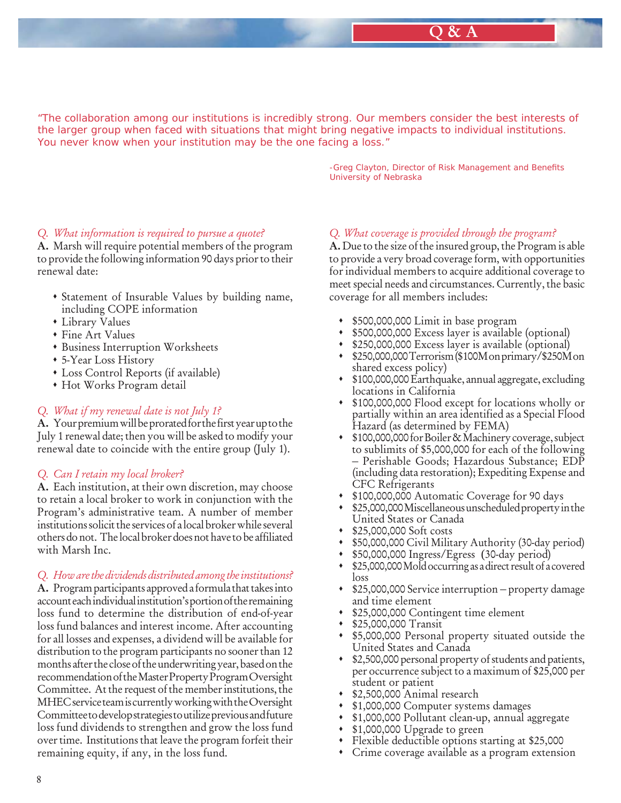## **Q & A**

*"The collaboration among our institutions is incredibly strong. Our members consider the best interests of the larger group when faced with situations that might bring negative impacts to individual institutions. You never know when your institution may be the one facing a loss."*

> **-Greg Clayton, Director of Risk Management and Benefits**  *University of Nebraska*

#### *Q. What information is required to pursue a quote?*

**A.** Marsh will require potential members of the program to provide the following information 90 days prior to their renewal date:

- Statement of Insurable Values by building name, including COPE information
- Library Values
- Fine Art Values
- Business Interruption Worksheets
- 5-Year Loss History
- Loss Control Reports (if available)
- Hot Works Program detail

### *Q. What if my renewal date is not July 1?*

**A.** Your premium will be prorated for the first year up to the July 1 renewal date; then you will be asked to modify your renewal date to coincide with the entire group (July 1).

#### *Q. Can I retain my local broker?*

**A.** Each institution, at their own discretion, may choose to retain a local broker to work in conjunction with the Program's administrative team. A number of member institutions solicit the services of a local broker while several others do not. The local broker does not have to be affiliated with Marsh Inc.

#### *Q. How are the dividends distributed among the institutions?*

**A.** Program participants approved a formula that takes into account each individual institution's portion of the remaining loss fund to determine the distribution of end-of-year loss fund balances and interest income. After accounting for all losses and expenses, a dividend will be available for distribution to the program participants no sooner than 12 months after the close of the underwriting year, based on the recommendation of the Master Property Program Oversight Committee. At the request of the member institutions, the MHEC service team is currently working with the Oversight Committee to develop strategies to utilize previous and future loss fund dividends to strengthen and grow the loss fund over time. Institutions that leave the program forfeit their remaining equity, if any, in the loss fund.

#### *Q. What coverage is provided through the program?*

**A.** Due to the size of the insured group, the Program is able to provide a very broad coverage form, with opportunities for individual members to acquire additional coverage to meet special needs and circumstances. Currently, the basic coverage for all members includes:

- \$500,000,000 Limit in base program
- \$500,000,000 Excess layer is available (optional)
- \$250,000,000 Excess layer is available (optional)
- \$250,000,000 Terrorism (\$100M on primary/\$250M on shared excess policy)
- \$100,000,000 Earthquake, annual aggregate, excluding locations in California
- \$100,000,000 Flood except for locations wholly or partially within an area identified as a Special Flood Hazard (as determined by FEMA)
- \$100,000,000 for Boiler & Machinery coverage, subject to sublimits of \$5,000,000 for each of the following – Perishable Goods; Hazardous Substance; EDP (including data restoration); Expediting Expense and CFC Refrigerants
- \$100,000,000 Automatic Coverage for 90 days
- \$25,000,000 Miscellaneous unscheduled property in the United States or Canada
- \$25,000,000 Soft costs
- \$50,000,000 Civil Military Authority (30-day period)
- \$50,000,000 Ingress/Egress (30-day period)
- \$25,000,000 Mold occurring as a direct result of a covered loss
- \$25,000,000 Service interruption property damage and time element
- \$25,000,000 Contingent time element
- \$25,000,000 Transit
- \$5,000,000 Personal property situated outside the United States and Canada
- \$2,500,000 personal property of students and patients, per occurrence subject to a maximum of \$25,000 per student or patient
- \$2,500,000 Animal research
- \$1,000,000 Computer systems damages
- \$1,000,000 Pollutant clean-up, annual aggregate
- \$1,000,000 Upgrade to green
- Flexible deductible options starting at \$25,000
- Crime coverage available as a program extension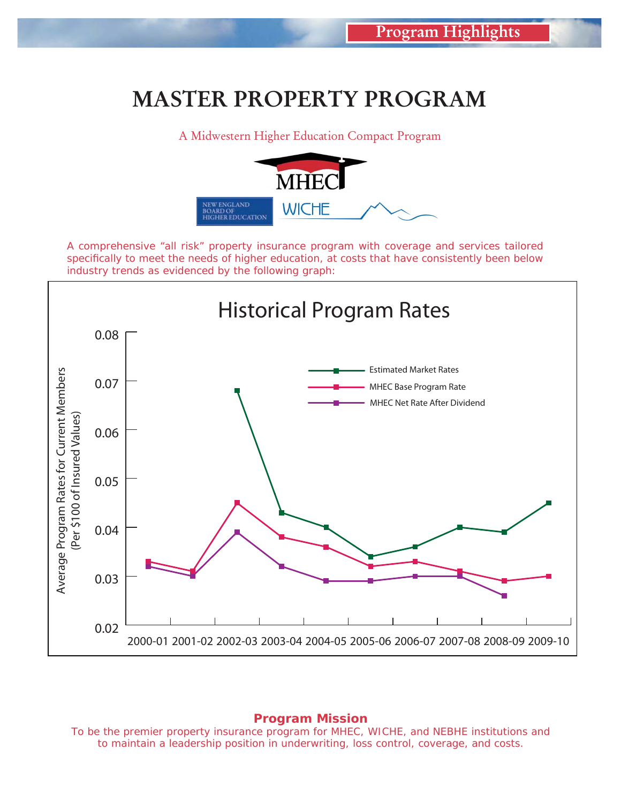# **MASTER PROPERTY PROGRAM**

A Midwestern Higher Education Compact Program



*A comprehensive "all risk" property insurance program with coverage and services tailored specifi cally to meet the needs of higher education, at costs that have consistently been below industry trends as evidenced by the following graph:* 



#### *Program Mission*

*To be the premier property insurance program for MHEC, WICHE, and NEBHE institutions and to maintain a leadership position in underwriting, loss control, coverage, and costs.*